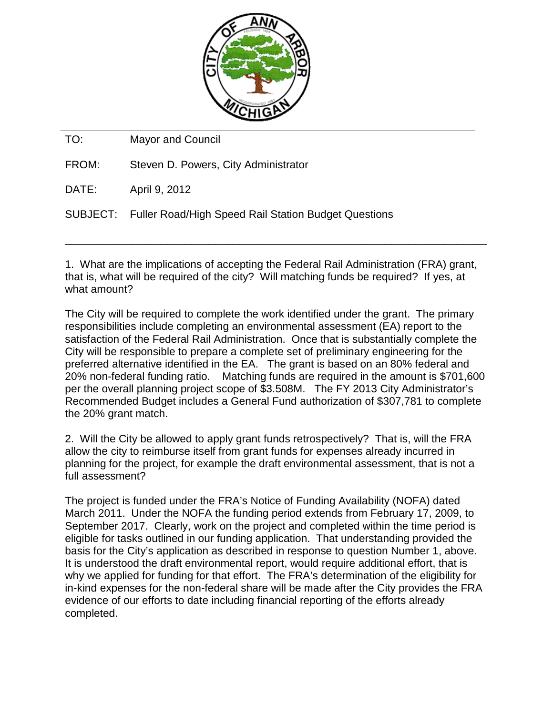

TO: Mayor and Council

FROM: Steven D. Powers, City Administrator

DATE: April 9, 2012

SUBJECT: Fuller Road/High Speed Rail Station Budget Questions

1. What are the implications of accepting the Federal Rail Administration (FRA) grant, that is, what will be required of the city? Will matching funds be required? If yes, at what amount?

\_\_\_\_\_\_\_\_\_\_\_\_\_\_\_\_\_\_\_\_\_\_\_\_\_\_\_\_\_\_\_\_\_\_\_\_\_\_\_\_\_\_\_\_\_\_\_\_\_\_\_\_\_\_\_\_\_\_\_\_\_\_\_\_\_\_\_\_\_\_

The City will be required to complete the work identified under the grant. The primary responsibilities include completing an environmental assessment (EA) report to the satisfaction of the Federal Rail Administration. Once that is substantially complete the City will be responsible to prepare a complete set of preliminary engineering for the preferred alternative identified in the EA. The grant is based on an 80% federal and 20% non-federal funding ratio. Matching funds are required in the amount is \$701,600 per the overall planning project scope of \$3.508M. The FY 2013 City Administrator's Recommended Budget includes a General Fund authorization of \$307,781 to complete the 20% grant match.

2. Will the City be allowed to apply grant funds retrospectively? That is, will the FRA allow the city to reimburse itself from grant funds for expenses already incurred in planning for the project, for example the draft environmental assessment, that is not a full assessment?

The project is funded under the FRA's Notice of Funding Availability (NOFA) dated March 2011. Under the NOFA the funding period extends from February 17, 2009, to September 2017. Clearly, work on the project and completed within the time period is eligible for tasks outlined in our funding application. That understanding provided the basis for the City's application as described in response to question Number 1, above. It is understood the draft environmental report, would require additional effort, that is why we applied for funding for that effort. The FRA's determination of the eligibility for in-kind expenses for the non-federal share will be made after the City provides the FRA evidence of our efforts to date including financial reporting of the efforts already completed.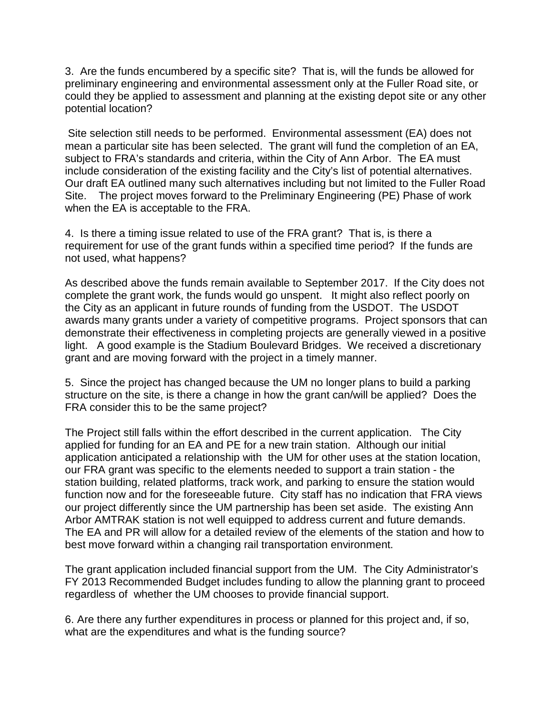3. Are the funds encumbered by a specific site? That is, will the funds be allowed for preliminary engineering and environmental assessment only at the Fuller Road site, or could they be applied to assessment and planning at the existing depot site or any other potential location?

Site selection still needs to be performed. Environmental assessment (EA) does not mean a particular site has been selected. The grant will fund the completion of an EA, subject to FRA's standards and criteria, within the City of Ann Arbor. The EA must include consideration of the existing facility and the City's list of potential alternatives. Our draft EA outlined many such alternatives including but not limited to the Fuller Road Site. The project moves forward to the Preliminary Engineering (PE) Phase of work when the EA is acceptable to the FRA.

4. Is there a timing issue related to use of the FRA grant? That is, is there a requirement for use of the grant funds within a specified time period? If the funds are not used, what happens?

As described above the funds remain available to September 2017. If the City does not complete the grant work, the funds would go unspent. It might also reflect poorly on the City as an applicant in future rounds of funding from the USDOT. The USDOT awards many grants under a variety of competitive programs. Project sponsors that can demonstrate their effectiveness in completing projects are generally viewed in a positive light. A good example is the Stadium Boulevard Bridges. We received a discretionary grant and are moving forward with the project in a timely manner.

5. Since the project has changed because the UM no longer plans to build a parking structure on the site, is there a change in how the grant can/will be applied? Does the FRA consider this to be the same project?

The Project still falls within the effort described in the current application. The City applied for funding for an EA and PE for a new train station. Although our initial application anticipated a relationship with the UM for other uses at the station location, our FRA grant was specific to the elements needed to support a train station - the station building, related platforms, track work, and parking to ensure the station would function now and for the foreseeable future. City staff has no indication that FRA views our project differently since the UM partnership has been set aside. The existing Ann Arbor AMTRAK station is not well equipped to address current and future demands. The EA and PR will allow for a detailed review of the elements of the station and how to best move forward within a changing rail transportation environment.

The grant application included financial support from the UM. The City Administrator's FY 2013 Recommended Budget includes funding to allow the planning grant to proceed regardless of whether the UM chooses to provide financial support.

6. Are there any further expenditures in process or planned for this project and, if so, what are the expenditures and what is the funding source?